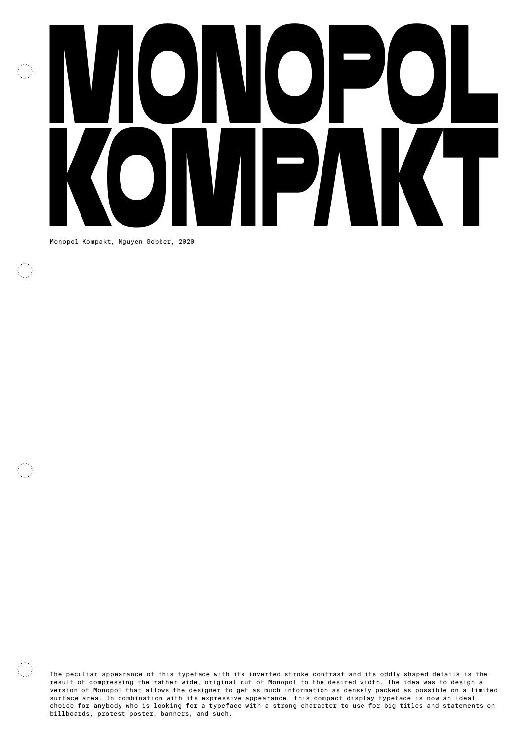## MONOPOL  $\overline{\mathbb{C}}$ KOMPART NGUYER GObber, 2020

Monopol Kompakt, Nguyen Gobber, 2020

 $\mathbb{C}^{\mathbb{Z}}$ 

 $\mathbb{C}^{\mathbb{Z}}$ 

The peculiar appearance of this typeface with its inverted stroke contrast and its oddly shaped details is the result of compressing the rather wide, original cut of Monopol to the desired width. The idea was to design a version of Monopol that allows the designer to get as much information as densely packed as possible on a limited surface area. In combination with its expressive appearance, this compact display typeface is now an ideal choice for anybody who is looking for a typeface with a strong character to use for big titles and statements on billboards, protest poster, banners, and such.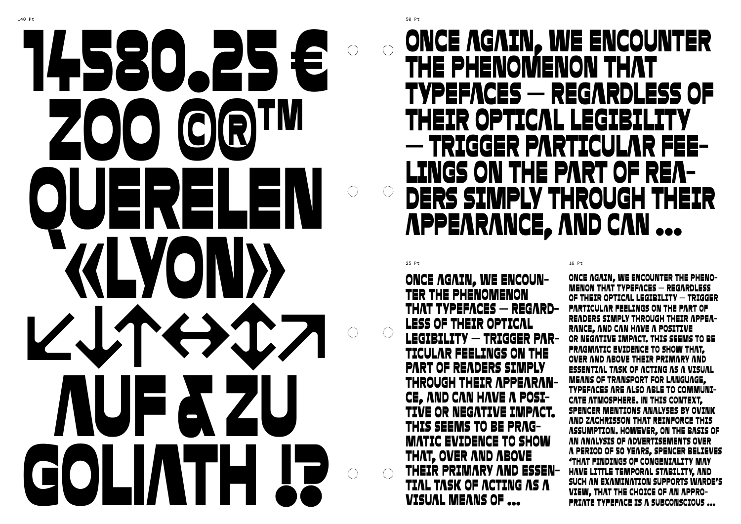### Once again, we encounter the phenomenon that typefaces – regardless of their optical legibility – trigger particular fee-LINGS ON THE PART OF REAders simply through their appearance, and can …

 $25$  Pt  $16$  Pt  $\overline{\phantom{a}}$ 

ONCE AGAIN, WE ENCOUN-<br>TER THE PHENOMENON THAT TYPEFACES — REGARD-<br>LESS OF THEIR OPTICAL legibility – trigger particular feelings on the **PART OF READERS SIMPLY<br>THROUGH THEIR APPEARAN-**CE, AND CAN HAVE A POSI-<br>TIVE OR NEGATIVE IMPACT. This seems to be pragmatic evidence to show that, over and above THEIR PRIMARY AND ESSEN-<br>TIAL TASK OF ACTING AS A visual means of …

Once again, we encounter the phenomenon that typefaces – regardless of their optical legibility – trigger particular feelings on the part of readers simply through their appearance, and can have a positive or negative impact. This seems to be pragmatic evidence to show that, over and above their primary and essential task of acting as a visual means of transport for language, typefaces are also able to communicate atmosphere. In this context, Spencer mentions analyses by Ovink and Zachrisson that reinforce this assumption. However, on the basis of an analysis of advertisements over a period of 50 years, Spencer believes 'that findings of congeniality may have little temporal stability, and such an examination supports Warde's view, that the choice of an appropriate typeface is a subconscious …

# 14580.25 € ZOO GRTM QUERELEN «Lyon» ↙��↔↕↗ AUF & Zu GOLIATH !?